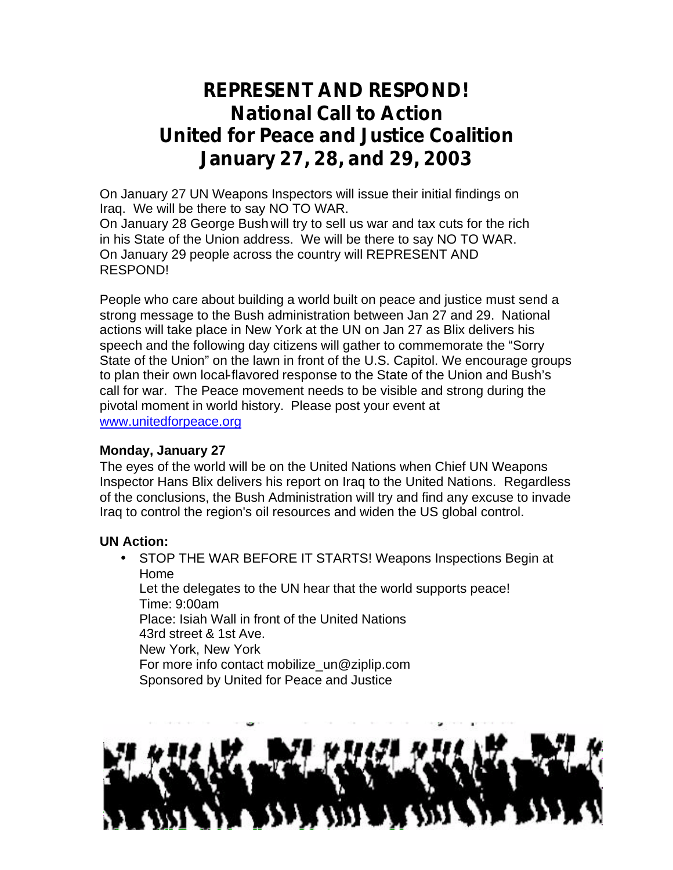# **REPRESENT AND RESPOND! National Call to Action United for Peace and Justice Coalition January 27, 28, and 29, 2003**

On January 27 UN Weapons Inspectors will issue their initial findings on Iraq. We will be there to say NO TO WAR.

On January 28 George Bush will try to sell us war and tax cuts for the rich in his State of the Union address. We will be there to say NO TO WAR. On January 29 people across the country will REPRESENT AND RESPOND!

People who care about building a world built on peace and justice must send a strong message to the Bush administration between Jan 27 and 29. National actions will take place in New York at the UN on Jan 27 as Blix delivers his speech and the following day citizens will gather to commemorate the "Sorry State of the Union" on the lawn in front of the U.S. Capitol. We encourage groups to plan their own local-flavored response to the State of the Union and Bush's call for war. The Peace movement needs to be visible and strong during the pivotal moment in world history. Please post your event at www.unitedforpeace.org

## **Monday, January 27**

The eyes of the world will be on the United Nations when Chief UN Weapons Inspector Hans Blix delivers his report on Iraq to the United Nations. Regardless of the conclusions, the Bush Administration will try and find any excuse to invade Iraq to control the region's oil resources and widen the US global control.

## **UN Action:**

• STOP THE WAR BEFORE IT STARTS! Weapons Inspections Begin at Home

Let the delegates to the UN hear that the world supports peace! Time: 9:00am Place: Isiah Wall in front of the United Nations

43rd street & 1st Ave.

New York, New York

For more info contact mobilize\_un@ziplip.com

Sponsored by United for Peace and Justice

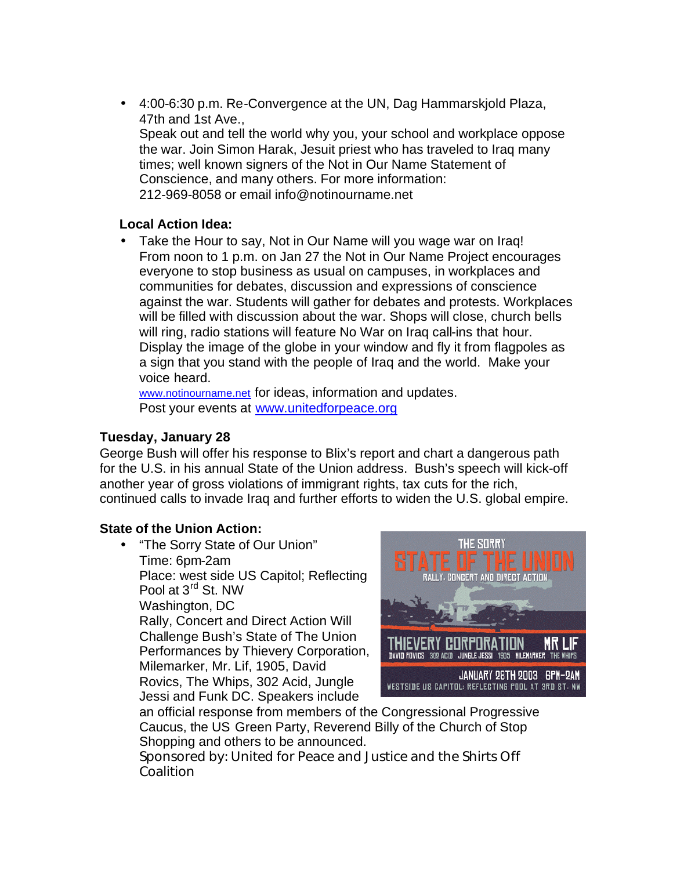• 4:00-6:30 p.m. Re-Convergence at the UN, Dag Hammarskjold Plaza, 47th and 1st Ave., Speak out and tell the world why you, your school and workplace oppose the war. Join Simon Harak, Jesuit priest who has traveled to Iraq many times; well known signers of the Not in Our Name Statement of Conscience, and many others. For more information: 212-969-8058 or email info@notinourname.net

## **Local Action Idea:**

• Take the Hour to say, Not in Our Name will you wage war on Iraq! From noon to 1 p.m. on Jan 27 the Not in Our Name Project encourages everyone to stop business as usual on campuses, in workplaces and communities for debates, discussion and expressions of conscience against the war. Students will gather for debates and protests. Workplaces will be filled with discussion about the war. Shops will close, church bells will ring, radio stations will feature No War on Iraq call-ins that hour. Display the image of the globe in your window and fly it from flagpoles as a sign that you stand with the people of Iraq and the world. Make your voice heard.

www.notinourname.net for ideas, information and updates. Post your events at www.unitedforpeace.org

## **Tuesday, January 28**

George Bush will offer his response to Blix's report and chart a dangerous path for the U.S. in his annual State of the Union address. Bush's speech will kick-off another year of gross violations of immigrant rights, tax cuts for the rich, continued calls to invade Iraq and further efforts to widen the U.S. global empire.

## **State of the Union Action:**

• "The Sorry State of Our Union" Time: 6pm-2am Place: west side US Capitol; Reflecting Pool at 3rd St. NW Washington, DC Rally, Concert and Direct Action Will Challenge Bush's State of The Union Performances by Thievery Corporation, Milemarker, Mr. Lif, 1905, David Rovics, The Whips, 302 Acid, Jungle Jessi and Funk DC. Speakers include



an official response from members of the Congressional Progressive Caucus, the US Green Party, Reverend Billy of the Church of Stop Shopping and others to be announced.

Sponsored by: United for Peace and Justice and the Shirts Off Coalition